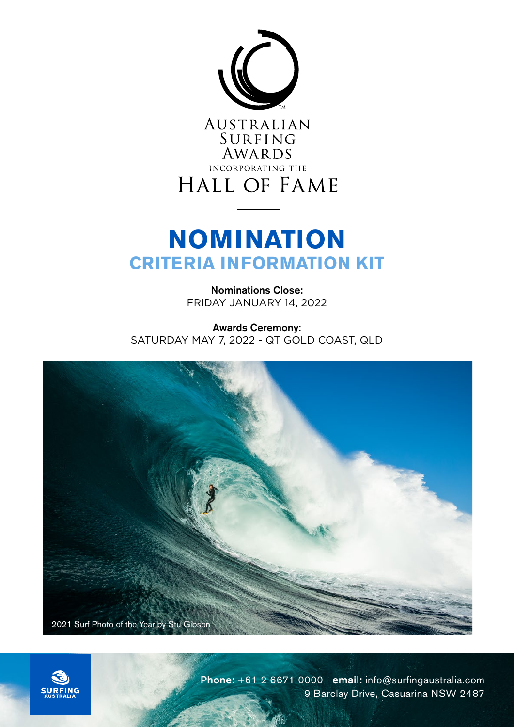

AUSTRALIAN SURFING<br>AWARDS INCORPORATING THE HALL OF FAME

# **NOMINATION CRITERIA INFORMATION KIT**

Nominations Close: FRIDAY JANUARY 14, 2022

Awards Ceremony: SATURDAY MAY 7, 2022 - QT GOLD COAST, QLD





Phone: +61 2 6671 0000 email: info@surfingaustralia.com 9 Barclay Drive, Casuarina NSW 2487